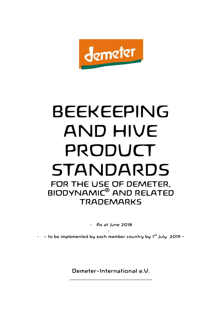

# BEEKEEPING AND HIVE PRODUCT STANDARDS FOR THE USE OF DEMETER, BIODYNAMIC® AND RELATED **TRADEMARKS**

- As at June 2018

 $-$  - to be implemented by each member country by 1st July 2019 -

-

Demeter-International e.V. \_\_\_\_\_\_\_\_\_\_\_\_\_\_\_\_\_\_\_\_\_\_\_\_\_\_\_\_\_\_\_\_\_\_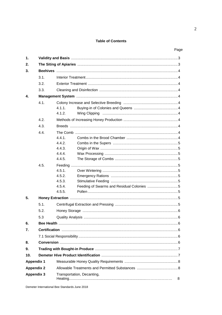#### **Table of Contents**

|                   |      |                            |                                           | Page |
|-------------------|------|----------------------------|-------------------------------------------|------|
| $\mathbf{1}$ .    |      |                            |                                           |      |
| 2.                |      |                            |                                           |      |
| 3.                |      |                            |                                           |      |
|                   | 3.1. |                            |                                           |      |
|                   | 3.2. |                            |                                           |      |
|                   | 3.3. |                            |                                           |      |
|                   |      |                            |                                           |      |
| 4.                |      |                            |                                           |      |
|                   | 4.1. |                            |                                           |      |
|                   |      | 4.1.1.                     |                                           |      |
|                   |      | 4.1.2.                     |                                           |      |
|                   | 4.2. |                            |                                           |      |
|                   | 4.3. |                            |                                           |      |
|                   | 4.4. |                            |                                           |      |
|                   |      | 441                        |                                           |      |
|                   |      | 4.4.2.                     |                                           |      |
|                   |      | 4.4.3.                     |                                           |      |
|                   |      | 4.4.4.                     |                                           |      |
|                   |      | 4.4.5.                     |                                           |      |
|                   | 4.5. |                            |                                           |      |
|                   |      | 4.5.1.                     |                                           |      |
|                   |      | 4.5.2.                     |                                           |      |
|                   |      | 4.5.3.                     |                                           |      |
|                   |      | 4.5.4.                     | Feeding of Swarms and Residual Colonies 5 |      |
|                   |      | 4.5.5.                     |                                           |      |
| 5.                |      |                            |                                           |      |
|                   | 5.1. |                            |                                           |      |
|                   | 5.2. |                            |                                           |      |
|                   | 5.3  |                            |                                           |      |
| 6.                |      |                            |                                           |      |
| 7.                |      |                            |                                           |      |
|                   |      |                            |                                           |      |
| 8.                |      |                            |                                           |      |
| 9.                |      |                            |                                           |      |
| 10.               |      |                            |                                           |      |
| <b>Appendix 1</b> |      |                            |                                           |      |
| <b>Appendix 2</b> |      |                            |                                           |      |
| <b>Appendix 3</b> |      | Transportation, Decanting, |                                           |      |
|                   |      | 8                          |                                           |      |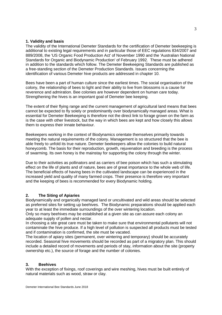#### **1. Validity and basis**

The validity of the International Demeter Standards for the certification of Demeter beekeeping is additional to existing legal requirements and in particular those of EEC regulations 834/2007 and 889/2008, the 'US Organic Food Production Act' of November 1990 and the 'Australian National Standards for Organic and Biodynamic Production' of February 1992. These must be adhered in addition to the standards which follow. The Demeter Beekeeping Standards are published as a free-standing section of the Demeter Production Standards. Issues concerning the identification of various Demeter hive products are addressed in chapter 10.

Bees have been a part of human culture since the earliest times. The social organisation of the colony, the relationship of bees to light and their ability to live from blossoms is a cause for reverence and admiration. Bee colonies are however dependent on human care today. Strengthening the hives is an important goal of Demeter bee keeping.

The extent of their flying range and the current management of agricultural land means that bees cannot be expected to fly solely or predominantly over biodynamically managed areas. What is essential for Demeter Beekeeping is therefore not the direct link to forage grown on the farm as is the case with other livestock, but the way in which bees are kept and how closely this allows them to express their innate behaviour.

Beekeepers working in the context of Biodynamics orientate themselves primarily towards meeting the natural requirements of the colony. Management is so structured that the bee is able freely to unfold its true nature. Demeter beekeepers allow the colonies to build natural honeycomb. The basis for their reproduction, growth, rejuvenation and breeding is the process of swarming. Its own honey is the mainstay for supporting the colony through the winter.

Due to their activities as pollinators and as carriers of bee poison which has such a stimulating effect on the life of plants and of nature, bees are of great importance to the whole web of life. The beneficial effects of having bees in the cultivated landscape can be experienced in the increased yield and quality of many farmed crops. Their presence is therefore very important and the keeping of bees is recommended for every Biodynamic holding.

## **2. The Siting of Apiaries**

Biodynamically and organically managed land or uncultivated and wild areas should be selected as preferred sites for setting up beehives. The Biodynamic preparations should be applied each year to at least the immediate surroundings of the over wintering location.

Only so many beehives may be established at a given site as can assure each colony an adequate supply of pollen and nectar.

In choosing a site great care must be taken to make sure that environmental pollutants will not contaminate the hive produce. If a high level of pollution is suspected all products must be tested and if contamination is confirmed, the site must be vacated.

The location of apiary sites (permanent, over wintering and temporary) should be accurately recorded. Seasonal hive movements should be recorded as part of a migratory plan. This should include a detailed record of movements and periods of stay, information about the site (property ownership etc.), the source of forage and the number of colonies.

## **3. Beehives**

With the exception of fixings, roof coverings and wire meshing, hives must be built entirely of natural materials such as wood, straw or clay.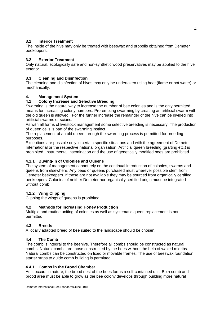# **3.1 Interior Treatment**

The inside of the hive may only be treated with beeswax and propolis obtained from Demeter beekeepers.

## **3.2 Exterior Treatment**

Only natural, ecologically safe and non-synthetic wood preservatives may be applied to the hive exterior.

# **3.3 Cleaning and Disinfection**

The cleaning and disinfection of hives may only be undertaken using heat (flame or hot water) or mechanically.

# **4. Management System**

# **4.1 Colony Increase and Selective Breeding**

Swarming is the natural way to increase the number of bee colonies and is the only permitted means for increasing colony numbers. Pre-empting swarming by creating an artificial swarm with the old queen is allowed. For the further increase the remainder of the hive can be divided into artificial swarms or scions.

As with all forms of livestock management some selective breeding is necessary. The production of queen cells is part of the swarming instinct.

The replacement of an old queen through the swarming process is permitted for breeding purposes.

Exceptions are possible only in certain specific situations and with the agreement of Demeter International or the respective national organisation. Artificial queen breeding (grafting etc.) is prohibited. Instrumental insemination and the use of genetically modified bees are prohibited.

# **4.1.1 Buying-in of Colonies and Queens**

The system of management cannot rely on the continual introduction of colonies, swarms and queens from elsewhere. Any bees or queens purchased must wherever possible stem from Demeter beekeepers. If these are not available they may be sourced from organically certified beekeepers. Colonies of neither Demeter nor organically certified origin must be integrated without comb.

# **4.1.2 Wing Clipping**

Clipping the wings of queens is prohibited.

# **4.2 Methods for increasing Honey Production**

Multiple and routine uniting of colonies as well as systematic queen replacement is not permitted.

## **4.3 Breeds**

A locally adapted breed of bee suited to the landscape should be chosen.

## **4.4 The Comb**

The comb is integral to the beehive. Therefore all combs should be constructed as natural combs. Natural combs are those constructed by the bees without the help of waxed midribs. Natural combs can be constructed on fixed or movable frames. The use of beeswax foundation starter strips to guide comb building is permitted.

## **4.4.1 Combs in the Brood Chamber**

As it occurs in nature, the brood nest of the bees forms a self-contained unit. Both comb and brood area must be able to grow as the bee colony develops through building more natural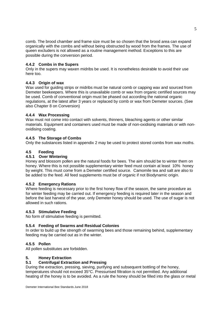comb. The brood chamber and frame size must be so chosen that the brood area can expand organically with the combs and without being obstructed by wood from the frames. The use of queen excluders is not allowed as a routine management method. Exceptions to this are possible during the conversion period.

## **4.4.2 Combs in the Supers**

Only in the supers may waxen midribs be used. It is nonetheless desirable to avoid their use here too.

## **4.4.3 Origin of wax**

Wax used for guiding strips or midribs must be natural comb or capping wax and sourced from Demeter beekeepers. Where this is unavailable comb or wax from organic certified sources may be used. Comb of conventional origin must be phased out according the national organic regulations, at the latest after 3 years or replaced by comb or wax from Demeter sources. (See also Chapter 8 on Conversion)

## **4.4.4 Wax Processing**

Wax must not come into contact with solvents, thinners, bleaching agents or other similar materials. Equipment and containers used must be made of non-oxidising materials or with nonoxidising coating.

## **4.4.5 The Storage of Combs**

Only the substances listed in appendix 2 may be used to protect stored combs from wax moths.

## **4.5 Feeding**

#### **4.5.1 Over Wintering**

Honey and blossom pollen are the natural foods for bees. The aim should be to winter them on honey. Where this is not possible supplementary winter feed must contain at least 10% honey by weight. This must come from a Demeter certified source. Camomile tea and salt are also to be added to the feed. All feed supplements must be of organic if not Biodynamic origin.

#### **4.5.2 Emergency Rations**

Where feeding is necessary prior to the first honey flow of the season, the same procedure as for winter feeding may be carried out. If emergency feeding is required later in the season and before the last harvest of the year, only Demeter honey should be used. The use of sugar is not allowed in such rations.

#### **4.5.3 Stimulative Feeding**

No form of stimulative feeding is permitted.

#### **5.5.4 Feeding of Swarms and Residual Colonies**

In order to build up the strength of swarming bees and those remaining behind, supplementary feeding may be carried out as in the winter.

#### **4.5.5 Pollen**

All pollen substitutes are forbidden.

#### **5. Honey Extraction**

#### **5.1 Centrifugal Extraction and Pressing**

During the extraction, pressing, sieving, purifying and subsequent bottling of the honey, temperatures should not exceed 35°C. Pressurised filtration is not permitted. Any additional heating of the honey is to be avoided. As a rule the honey should be filled into the glass or metal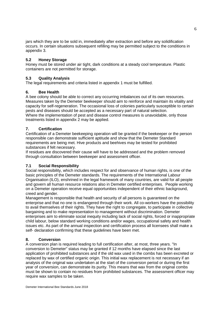jars which they are to be sold in, immediately after extraction and before any solidification occurs. In certain situations subsequent refilling may be permitted subject to the conditions in appendix 3.

## **5.2 Honey Storage**

Honey must be stored under air tight, dark conditions at a steady cool temperature. Plastic containers are not permitted for storage.

# **5.3 Quality Analysis**

The legal requirements and criteria listed in appendix 1 must be fulfilled.

## **6. Bee Health**

A bee colony should be able to correct any occurring imbalances out of its own resources. Measures taken by the Demeter beekeeper should aim to reinforce and maintain its vitality and capacity for self-regeneration. The occasional loss of colonies particularly susceptible to certain pests and diseases should be accepted as a necessary part of natural selection. Where the implementation of pest and disease control measures is unavoidable, only those treatments listed in appendix 2 may be applied.

# **7. Certification**

Certification of a Demeter beekeeping operation will be granted if the beekeeper or the person responsible can demonstrate sufficient aptitude and show that the Demeter Standard requirements are being met. Hive products and beehives may be tested for prohibited substances if felt necessary.

If residues are discovered their cause will have to be addressed and the problem removed through consultation between beekeeper and assessment officer.

## **7.1 Social Responsibility**

Social responsibility, which includes respect for and observance of human rights, is one of the basic principles of the Demeter standards. The requirements of the International Labour Organisation (ILO), enshrined in the legal framework of many countries, are valid for all people and govern all human resource relations also in Demeter certified enterprises. People working on a Demeter operation receive equal opportunities independent of their ethnic background, creed and gender.

Management is responsible that health and security of all persons is guaranteed on the enterprise and that no one is endangered through their work. All co-workers have the possibility to avail themselves of their rights. They have the right to congregate, to participate in collective bargaining and to make representation to management without discrimination. Demeter enterprises aim to eliminate social inequity including lack of social rights, forced or inappropriate child labour, below standard working conditions and/or wages, occupational safety and health issues etc. As part of the annual inspection and certification process all licensees shall make a self- declaration confirming that these guidelines have been met.

## **8. Conversion**

A conversion plan is required leading to full certification after, at most, three years. "In conversion to Demeter" status may be granted if 12 months have elapsed since the last application of prohibited substances and if the old wax used in the combs has been excreted or replaced by wax of certified organic origin. This initial wax replacement is not necessary if an analysis of the original wax undertaken at the start of the conversion period or during the first year of conversion, can demonstrate its purity. This means that wax from the original combs must be shown to contain no residues from prohibited substances. The assessment officer may require wax samples to be taken.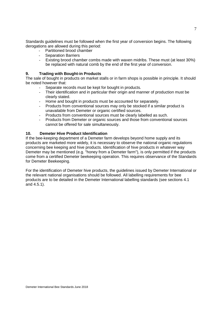Standards guidelines must be followed when the first year of conversion begins. The following derogations are allowed during this period:

- Partitioned brood chamber
- Separation Barriers
- Existing brood chamber combs made with waxen midribs. These must (at least 30%) be replaced with natural comb by the end of the first year of conversion.

#### **9. Trading with Bought-in Products**

The sale of bought in products on market stalls or in farm shops is possible in principle. It should be noted however that:

- Separate records must be kept for bought in products.
- Their identification and in particular their origin and manner of production must be clearly stated.
- Home and bought in products must be accounted for separately.
- Products from conventional sources may only be stocked if a similar product is unavailable from Demeter or organic certified sources.
- Products from conventional sources must be clearly labelled as such.
- Products from Demeter or organic sources and those from conventional sources cannot be offered for sale simultaneously.

## **10. Demeter Hive Product Identification**

If the bee-keeping department of a Demeter farm develops beyond home supply and its products are marketed more widely, it is necessary to observe the national organic regulations concerning bee keeping and hive products. Identification of hive products in whatever way Demeter may be mentioned (e.g. "honey from a Demeter farm"), is only permitted if the products come from a certified Demeter beekeeping operation. This requires observance of the Standards for Demeter Beekeeping.

For the identification of Demeter hive products, the guidelines issued by Demeter International or the relevant national organisations should be followed. All labelling requirements for bee products are to be detailed in the Demeter International labelling standards (see sections 4.1 and 4.5.1).